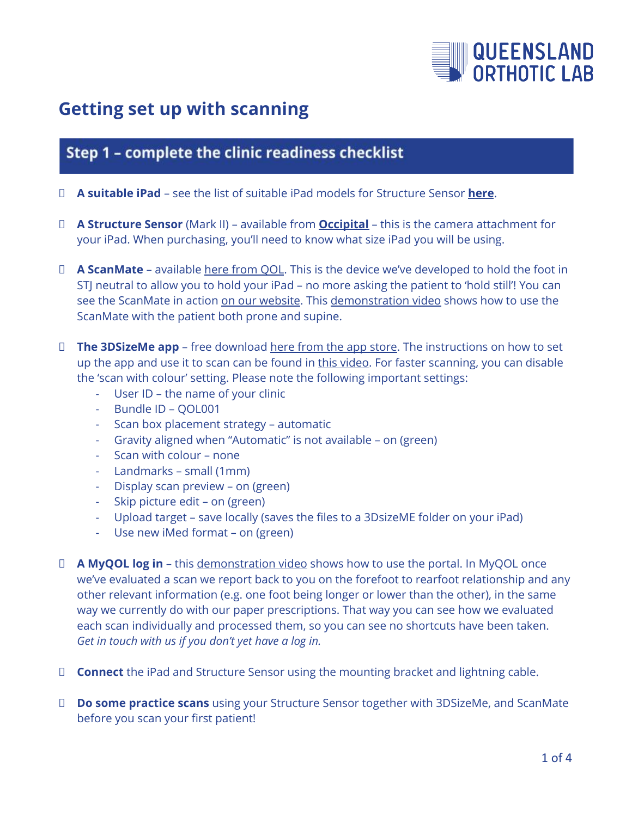

# **Getting set up with scanning**

# Step 1 - complete the clinic readiness checklist

- **A suitable iPad** see the list of suitable iPad models for Structure Sensor **[here](https://support.structure.io/article/529-which-ipads-can-i-use-with-structure-sensor-mark-ii)**.
- **A Structure Sensor** (Mark II) available from **[Occipital](https://structure.io/structure-sensor/mark-ii)** this is the camera attachment for your iPad. When purchasing, you'll need to know what size iPad you will be using.
- **A ScanMate** available here [from](https://www.qol4feet.com.au/scan-mate/) QOL. This is the device we've developed to hold the foot in STJ neutral to allow you to hold your iPad – no more asking the patient to 'hold still'! You can see the ScanMate in action on our [website.](https://www.qol4feet.com.au/scan-mate/) This [demonstration](https://youtu.be/m0PhBoUD8GM) video shows how to use the ScanMate with the patient both prone and supine.
- **The 3DSizeMe app** free download here from the app [store.](https://apps.apple.com/us/app/3dsizeme/id964196048) The instructions on how to set up the app and use it to scan can be found in this [video.](https://www.youtube.com/watch?v=4CdCELdh-00) For faster scanning, you can disable the 'scan with colour' setting. Please note the following important settings:
	- User ID the name of your clinic
	- Bundle ID QOL001
	- Scan box placement strategy automatic
	- Gravity aligned when "Automatic" is not available on (green)
	- Scan with colour none
	- Landmarks small (1mm)
	- Display scan preview on (green)
	- Skip picture edit on (green)
	- Upload target save locally (saves the files to a 3DsizeME folder on your iPad)
	- Use new iMed format on (green)
- **A MyQOL log in** this [demonstration](https://www.qol4feet.com.au/my-qol/) video shows how to use the portal. In MyQOL once we've evaluated a scan we report back to you on the forefoot to rearfoot relationship and any other relevant information (e.g. one foot being longer or lower than the other), in the same way we currently do with our paper prescriptions. That way you can see how we evaluated each scan individually and processed them, so you can see no shortcuts have been taken. *Get in touch with us if you don't yet have a log in.*
- **Connect** the iPad and Structure Sensor using the mounting bracket and lightning cable.
- **Do some practice scans** using your Structure Sensor together with 3DSizeMe, and ScanMate before you scan your first patient!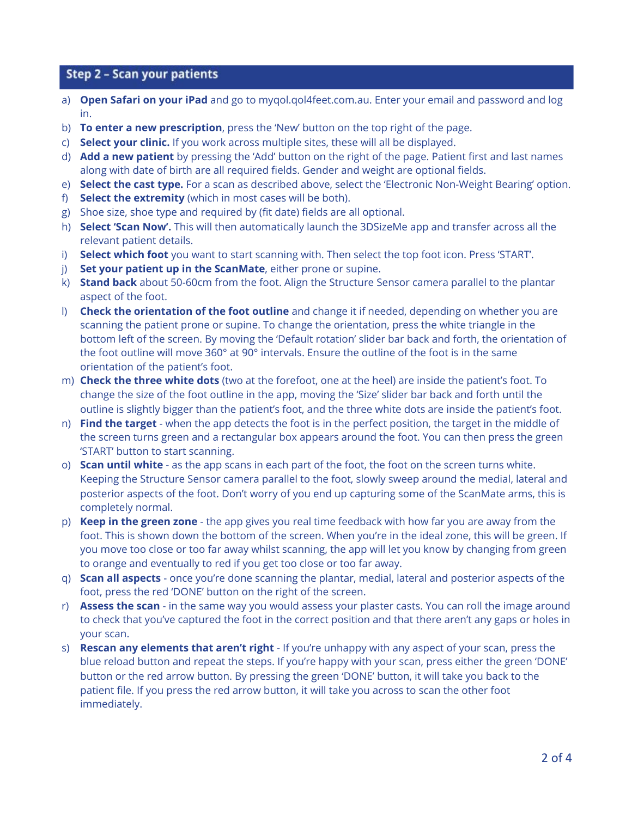## Step 2 - Scan your patients

- a) **Open Safari on your iPad** and go to myqol.qol4feet.com.au. Enter your email and password and log in.
- b) **To enter a new prescription**, press the 'New' button on the top right of the page.
- c) **Select your clinic.** If you work across multiple sites, these will all be displayed.
- d) **Add a new patient** by pressing the 'Add' button on the right of the page. Patient first and last names along with date of birth are all required fields. Gender and weight are optional fields.
- e) **Select the cast type.** For a scan as described above, select the 'Electronic Non-Weight Bearing' option.
- f) **Select the extremity** (which in most cases will be both).
- g) Shoe size, shoe type and required by (fit date) fields are all optional.
- h) **Select 'Scan Now'.** This will then automatically launch the 3DSizeMe app and transfer across all the relevant patient details.
- i) **Select which foot** you want to start scanning with. Then select the top foot icon. Press 'START'.
- j) **Set your patient up in the ScanMate**, either prone or supine.
- k) **Stand back** about 50-60cm from the foot. Align the Structure Sensor camera parallel to the plantar aspect of the foot.
- l) **Check the orientation of the foot outline** and change it if needed, depending on whether you are scanning the patient prone or supine. To change the orientation, press the white triangle in the bottom left of the screen. By moving the 'Default rotation' slider bar back and forth, the orientation of the foot outline will move 360° at 90° intervals. Ensure the outline of the foot is in the same orientation of the patient's foot.
- m) **Check the three white dots** (two at the forefoot, one at the heel) are inside the patient's foot. To change the size of the foot outline in the app, moving the 'Size' slider bar back and forth until the outline is slightly bigger than the patient's foot, and the three white dots are inside the patient's foot.
- n) **Find the target** when the app detects the foot is in the perfect position, the target in the middle of the screen turns green and a rectangular box appears around the foot. You can then press the green 'START' button to start scanning.
- o) **Scan until white** as the app scans in each part of the foot, the foot on the screen turns white. Keeping the Structure Sensor camera parallel to the foot, slowly sweep around the medial, lateral and posterior aspects of the foot. Don't worry of you end up capturing some of the ScanMate arms, this is completely normal.
- p) **Keep in the green zone** the app gives you real time feedback with how far you are away from the foot. This is shown down the bottom of the screen. When you're in the ideal zone, this will be green. If you move too close or too far away whilst scanning, the app will let you know by changing from green to orange and eventually to red if you get too close or too far away.
- q) **Scan all aspects** once you're done scanning the plantar, medial, lateral and posterior aspects of the foot, press the red 'DONE' button on the right of the screen.
- r) **Assess the scan** in the same way you would assess your plaster casts. You can roll the image around to check that you've captured the foot in the correct position and that there aren't any gaps or holes in your scan.
- s) **Rescan any elements that aren't right** If you're unhappy with any aspect of your scan, press the blue reload button and repeat the steps. If you're happy with your scan, press either the green 'DONE' button or the red arrow button. By pressing the green 'DONE' button, it will take you back to the patient file. If you press the red arrow button, it will take you across to scan the other foot immediately.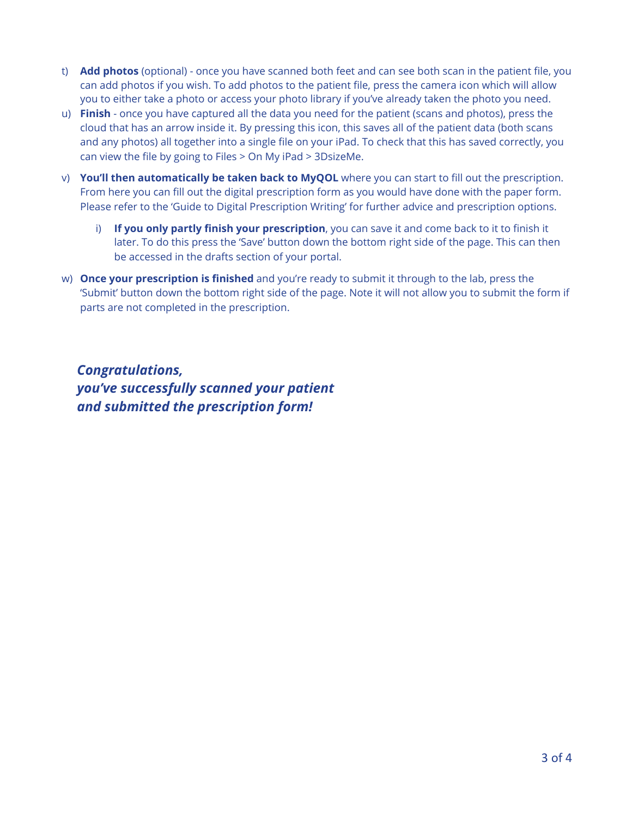- t) **Add photos** (optional) once you have scanned both feet and can see both scan in the patient file, you can add photos if you wish. To add photos to the patient file, press the camera icon which will allow you to either take a photo or access your photo library if you've already taken the photo you need.
- u) **Finish** once you have captured all the data you need for the patient (scans and photos), press the cloud that has an arrow inside it. By pressing this icon, this saves all of the patient data (both scans and any photos) all together into a single file on your iPad. To check that this has saved correctly, you can view the file by going to Files > On My iPad > 3DsizeMe.
- v) **You'll then automatically be taken back to MyQOL** where you can start to fill out the prescription. From here you can fill out the digital prescription form as you would have done with the paper form. Please refer to the 'Guide to Digital Prescription Writing' for further advice and prescription options.
	- i) **If you only partly finish your prescription**, you can save it and come back to it to finish it later. To do this press the 'Save' button down the bottom right side of the page. This can then be accessed in the drafts section of your portal.
- w) **Once your prescription is finished** and you're ready to submit it through to the lab, press the 'Submit' button down the bottom right side of the page. Note it will not allow you to submit the form if parts are not completed in the prescription.

*Congratulations, you've successfully scanned your patient and submitted the prescription form!*